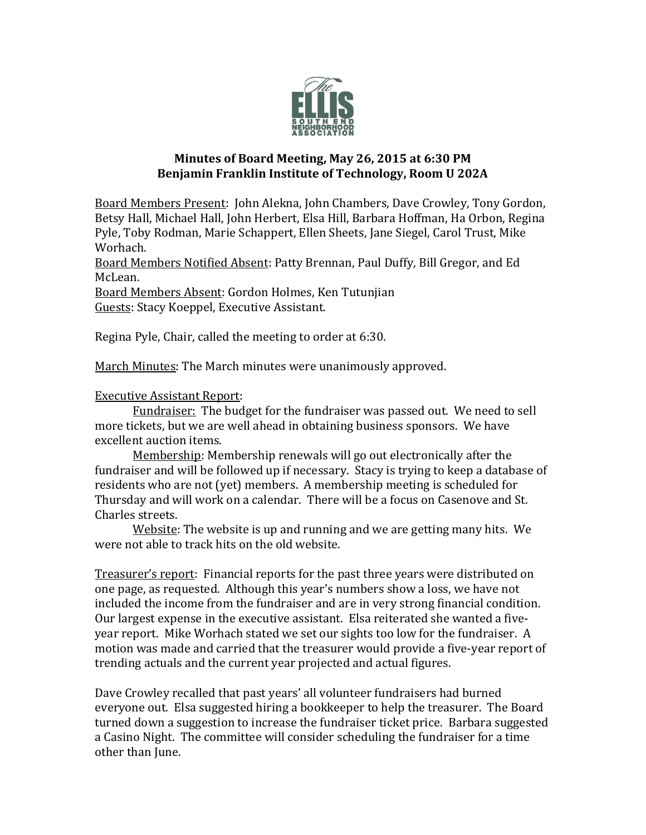

## **Minutes of Board Meeting, May 26, 2015 at 6:30 PM Benjamin Franklin Institute of Technology, Room U 202A**

Board Members Present: John Alekna, John Chambers, Dave Crowley, Tony Gordon, Betsy Hall, Michael Hall, John Herbert, Elsa Hill, Barbara Hoffman, Ha Orbon, Regina Pyle, Toby Rodman, Marie Schappert, Ellen Sheets, Jane Siegel, Carol Trust, Mike Worhach.

Board Members Notified Absent: Patty Brennan, Paul Duffy, Bill Gregor, and Ed McLean.

Board Members Absent: Gordon Holmes, Ken Tutunjian Guests: Stacy Koeppel, Executive Assistant.

Regina Pyle, Chair, called the meeting to order at 6:30.

March Minutes: The March minutes were unanimously approved.

## Executive Assistant Report:

Fundraiser: The budget for the fundraiser was passed out. We need to sell more tickets, but we are well ahead in obtaining business sponsors. We have excellent auction items.

Membership: Membership renewals will go out electronically after the fundraiser and will be followed up if necessary. Stacy is trying to keep a database of residents who are not (yet) members. A membership meeting is scheduled for Thursday and will work on a calendar. There will be a focus on Casenove and St. Charles streets.

Website: The website is up and running and we are getting many hits. We were not able to track hits on the old website.

Treasurer's report: Financial reports for the past three years were distributed on one page, as requested. Although this year's numbers show a loss, we have not included the income from the fundraiser and are in very strong financial condition. Our largest expense in the executive assistant. Elsa reiterated she wanted a fiveyear report. Mike Worhach stated we set our sights too low for the fundraiser. A motion was made and carried that the treasurer would provide a five-year report of trending actuals and the current year projected and actual figures.

Dave Crowley recalled that past years' all volunteer fundraisers had burned everyone out. Elsa suggested hiring a bookkeeper to help the treasurer. The Board turned down a suggestion to increase the fundraiser ticket price. Barbara suggested a Casino Night. The committee will consider scheduling the fundraiser for a time other than June.